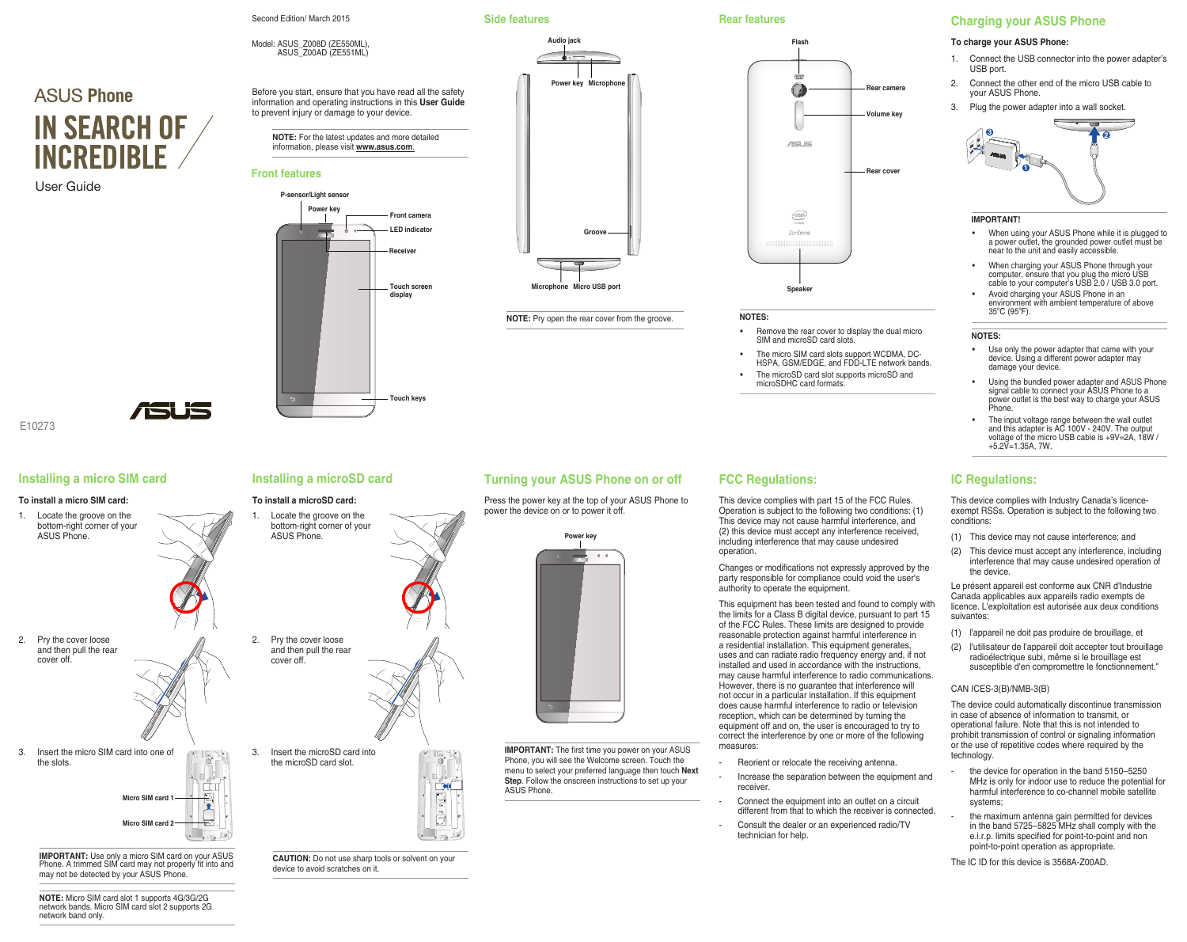**ASUS Phone IN SEARCH OF INCREDIRI F** 

User Guide



E10273

# **Installing a micro SIM card**

## **To install a micro SIM card:**

1. Locate the groove on the bottom-right corner of your ASUS Phone.



- 2. Pry the cover loose and then pull the rear cover off.
	-
- 3. Insert the micro SIM card into one of the slots.



*i*sk 19

**IMPORTANT:** Use only a micro SIM card on your ASUS Phone. A trimmed SIM card may not properly fit into and may not be detected by your ASUS Phone.

**NOTE:** Micro SIM card slot 1 supports 4G/3G/2G network bands. Micro SIM card slot 2 supports 2G network band only.

# **Installing a microSD card**

## **To install a microSD card:**



3. Insert the microSD card into the microSD card slot.



**CAUTION:** Do not use sharp tools or solvent on your device to avoid scratches on it.

# **Turning your ASUS Phone on or off**

**NOTE:** Pry open the rear cover from the groove.

**Micro USB port**

**Microphone**

**Groove**

**Side features**

**Audio jack**

**Power key** Microph

Press the power key at the top of your ASUS Phone to power the device on or to power it off.



**IMPORTANT:** The first time you power on your ASUS Phone, you will see the Welcome screen. Touch the menu to select your preferred language then touch **Next Step**. Follow the onscreen instructions to set up your ASUS Phone.

**Rear features**



## **NOTES:**

- Remove the rear cover to display the dual micro SIM and microSD card slots.
- The micro SIM card slots support WCDMA, DC-HSPA, GSM/EDGE, and FDD-LTE network bands. The microSD card slot supports microSD and
	- microSDHC card formats.

## **FCC Regulations:**

This device complies with part 15 of the FCC Rules. Operation is subject to the following two conditions: (1) This device may not cause harmful interference, and (2) this device must accept any interference received, including interference that may cause undesired operation.

Changes or modifications not expressly approved by the party responsible for compliance could void the user's authority to operate the equipment.

This equipment has been tested and found to comply with the limits for a Class B digital device, pursuant to part 15 of the FCC Rules. These limits are designed to provide reasonable protection against harmful interference in a residential installation. This equipment generates, uses and can radiate radio frequency energy and, if not installed and used in accordance with the instructions, may cause harmful interference to radio communications. However, there is no guarantee that interference will not occur in a particular installation. If this equipment does cause harmful interference to radio or television reception, which can be determined by turning the equipment off and on, the user is encouraged to try to correct the interference by one or more of the following measures:

- Reorient or relocate the receiving antenna.
- Increase the separation between the equipment and receiver.
- Connect the equipment into an outlet on a circuit different from that to which the receiver is connected.
- Consult the dealer or an experienced radio/TV technician for help.

# **Charging your ASUS Phone**

## **To charge your ASUS Phone:**

- 1. Connect the USB connector into the power adapter's USB port.
- 2. Connect the other end of the micro USB cable to your ASUS Phone.
- 3. Plug the power adapter into a wall socket.



## **IMPORTANT!**

- When using your ASUS Phone while it is plugged to a power outlet, the grounded power outlet must be near to the unit and easily accessible.
- • When charging your ASUS Phone through your computer, ensure that you plug the micro USB cable to your computer's USB 2.0 / USB 3.0 port.
- Avoid charging your ASUS Phone in an environment with ambient temperature of above<br>35°C (95°F).

#### **NOTES:**

- Use only the power adapter that came with your device. Using a different power adapter may damage your device.
- Using the bundled power adapter and ASUS Phone signal cable to connect your ASUS Phone to a power outlet is the best way to charge your ASUS Phone.
- • The input voltage range between the wall outlet and this adapter is AC 100V 240V. The output voltage of the micro USB cable is +9V=2A, 18W / +5.2V=1.35A, 7W.

## **IC Regulations:**

This device complies with Industry Canada's licenceexempt RSSs. Operation is subject to the following two conditions:

- (1) This device may not cause interference; and
- (2) This device must accept any interference, including interference that may cause undesired operation of the device.

Le présent appareil est conforme aux CNR d'Industrie Canada applicables aux appareils radio exempts de licence. L'exploitation est autorisée aux deux conditions suivantes:

- (1) l'appareil ne doit pas produire de brouillage, et
- (2) l'utilisateur de l'appareil doit accepter tout brouillage radioélectrique subi, même si le brouillage est susceptible d'en compromettre le fonctionnement."

## CAN ICES-3(B)/NMB-3(B)

The device could automatically discontinue transmission in case of absence of information to transmit, or operational failure. Note that this is not intended to prohibit transmission of control or signaling information or the use of repetitive codes where required by the technology.

- the device for operation in the band 5150–5250 MHz is only for indoor use to reduce the potential for harmful interference to co-channel mobile satellite systems;
- the maximum antenna gain permitted for devices in the band 5725–5825 MHz shall comply with the e.i.r.p. limits specified for point-to-point and non point-to-point operation as appropriate.

The IC ID for this device is 3568A-Z00AD.